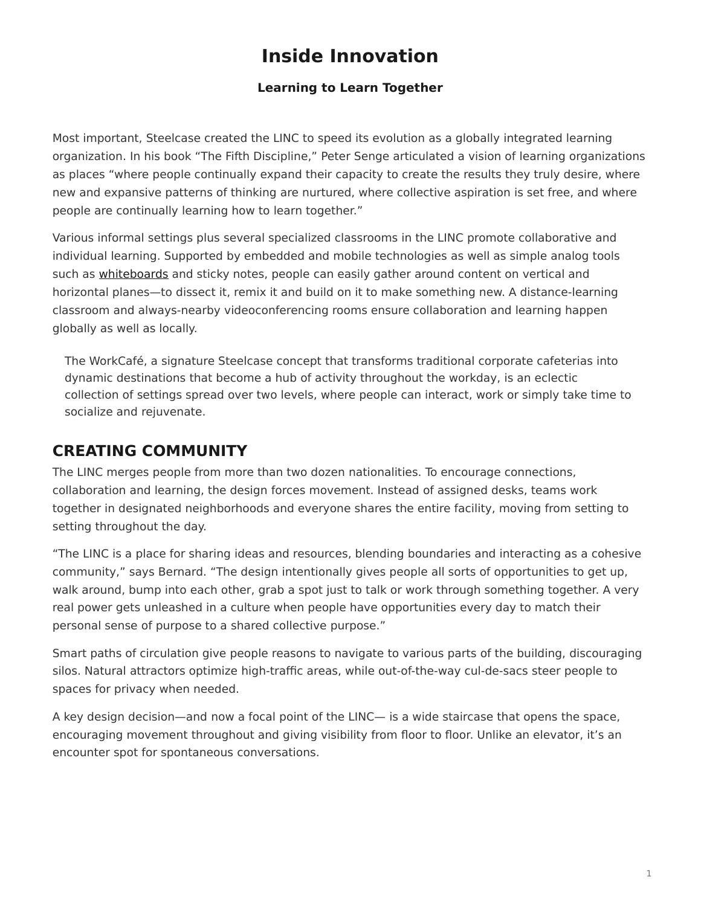## **Inside Innovation**

## **Learning to Learn Together**

<span id="page-0-0"></span>Most important, Steelcase created the LINC to speed its evolution as a globally integrated learning organization. In his book "The Fifth Discipline," Peter Senge articulated a vision of learning organizations as places "where people continually expand their capacity to create the results they truly desire, where new and expansive patterns of thinking are nurtured, where collective aspiration is set free, and where people are continually learning how to learn together."

Various informal settings plus several specialized classrooms in the LINC promote collaborative and individual learning. Supported by embedded and mobile technologies as well as simple analog tools such as [whiteboards](https://www.steelcase.com/products/whiteboards/) and sticky notes, people can easily gather around content on vertical and horizontal planes—to dissect it, remix it and build on it to make something new. A distance-learning classroom and always-nearby videoconferencing rooms ensure collaboration and learning happen globally as well as locally.

The WorkCafé, a signature Steelcase concept that transforms traditional corporate cafeterias into dynamic destinations that become a hub of activity throughout the workday, is an eclectic collection of settings spread over two levels, where people can interact, work or simply take time to socialize and rejuvenate.

## **CREATING COMMUNITY**

The LINC merges people from more than two dozen nationalities. To encourage connections, collaboration and learning, the design forces movement. Instead of assigned desks, teams work together in designated neighborhoods and everyone shares the entire facility, moving from setting to setting throughout the day.

"The LINC is a place for sharing ideas and resources, blending boundaries and interacting as a cohesive community," says Bernard. "The design intentionally gives people all sorts of opportunities to get up, walk around, bump into each other, grab a spot just to talk or work through something together. A very real power gets unleashed in a culture when people have opportunities every day to match their personal sense of purpose to a shared collective purpose."

Smart paths of circulation give people reasons to navigate to various parts of the building, discouraging silos. Natural attractors optimize high-traffic areas, while out-of-the-way cul-de-sacs steer people to spaces for privacy when needed.

A key design decision—and now a focal point of the LINC— is a wide staircase that opens the space, encouraging movement throughout and giving visibility from floor to floor. Unlike an elevator, it's an encounter spot for spontaneous conversations.